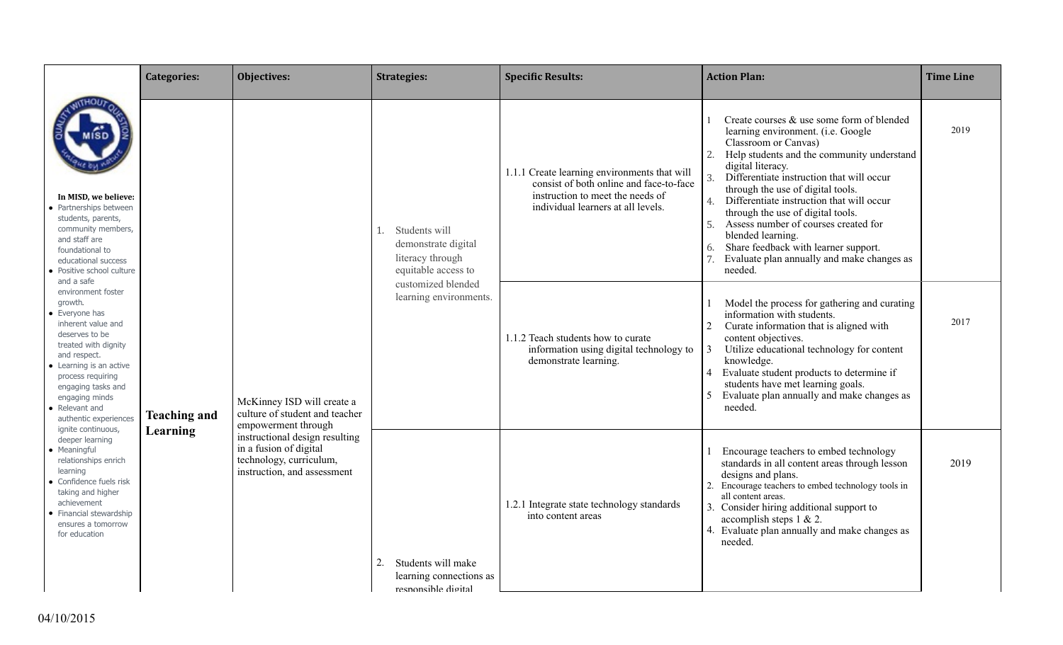|                                                                                                                                                                                                                                                                                  | <b>Categories:</b>  | Objectives:                                                                                                        | <b>Strategies:</b>                                                                    | <b>Specific Results:</b>                                                                                                                                          | <b>Action Plan:</b>                                                                                                                                                                                                                                                                                                                                                                                                                                                                                                                        | <b>Time Line</b> |
|----------------------------------------------------------------------------------------------------------------------------------------------------------------------------------------------------------------------------------------------------------------------------------|---------------------|--------------------------------------------------------------------------------------------------------------------|---------------------------------------------------------------------------------------|-------------------------------------------------------------------------------------------------------------------------------------------------------------------|--------------------------------------------------------------------------------------------------------------------------------------------------------------------------------------------------------------------------------------------------------------------------------------------------------------------------------------------------------------------------------------------------------------------------------------------------------------------------------------------------------------------------------------------|------------------|
| In MISD, we believe:<br>• Partnerships between<br>students, parents,<br>community members,<br>and staff are<br>foundational to<br>educational success<br>• Positive school culture                                                                                               |                     |                                                                                                                    | Students will<br>1.<br>demonstrate digital<br>literacy through<br>equitable access to | 1.1.1 Create learning environments that will<br>consist of both online and face-to-face<br>instruction to meet the needs of<br>individual learners at all levels. | Create courses & use some form of blended<br>learning environment. (i.e. Google<br>Classroom or Canvas)<br>Help students and the community understand<br>2.<br>digital literacy.<br>Differentiate instruction that will occur<br>3.<br>through the use of digital tools.<br>Differentiate instruction that will occur<br>4.<br>through the use of digital tools.<br>Assess number of courses created for<br>5.<br>blended learning.<br>Share feedback with learner support.<br>6.<br>Evaluate plan annually and make changes as<br>needed. | 2019             |
| and a safe<br>environment foster<br>growth.<br>• Evervone has<br>inherent value and<br>deserves to be<br>treated with dignity<br>and respect.<br>• Learning is an active<br>process requiring<br>engaging tasks and<br>engaging minds<br>• Relevant and<br>authentic experiences | <b>Teaching and</b> | McKinney ISD will create a<br>culture of student and teacher<br>empowerment through                                | customized blended<br>learning environments.                                          | 1.1.2 Teach students how to curate<br>information using digital technology to<br>demonstrate learning.                                                            | Model the process for gathering and curating<br>information with students.<br>2<br>Curate information that is aligned with<br>content objectives.<br>Utilize educational technology for content<br>3<br>knowledge.<br>Evaluate student products to determine if<br>$\overline{4}$<br>students have met learning goals.<br>Evaluate plan annually and make changes as<br>5<br>needed.                                                                                                                                                       | 2017             |
| ignite continuous,<br>deeper learning<br>• Meaningful<br>relationships enrich<br>learning<br>• Confidence fuels risk<br>taking and higher<br>achievement<br>• Financial stewardship<br>ensures a tomorrow<br>for education                                                       | Learning            | instructional design resulting<br>in a fusion of digital<br>technology, curriculum,<br>instruction, and assessment | Students will make<br>2.<br>learning connections as<br>responsible digital            | 1.2.1 Integrate state technology standards<br>into content areas                                                                                                  | Encourage teachers to embed technology<br>standards in all content areas through lesson<br>designs and plans.<br>2. Encourage teachers to embed technology tools in<br>all content areas.<br>3. Consider hiring additional support to<br>accomplish steps 1 & 2.<br>4. Evaluate plan annually and make changes as<br>needed.                                                                                                                                                                                                               | 2019             |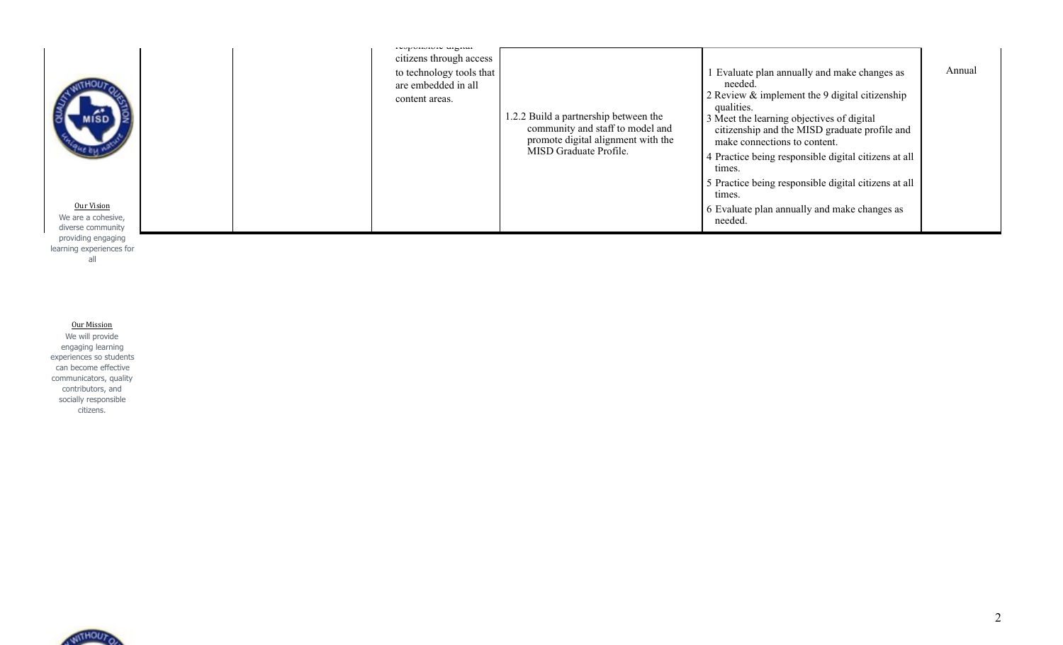| content areas.<br>qualities.<br>1.2.2 Build a partnership between the<br>3 Meet the learning objectives of digital<br>community and staff to model and<br>citizenship and the MISD graduate profile and<br>promote digital alignment with the<br>make connections to content.<br>MISD Graduate Profile.<br>4 Practice being responsible digital citizens at all<br>times.<br>5 Practice being responsible digital citizens at all<br>times.<br>Our Vision<br>6 Evaluate plan annually and make changes as<br>We are a cohesive,<br>needed.<br>diverse community |  | repondroite sugnur<br>citizens through access<br>to technology tools that<br>are embedded in all |  | Evaluate plan annually and make changes as<br>needed.<br>2 Review $\&$ implement the 9 digital citizenship | Annual |
|-----------------------------------------------------------------------------------------------------------------------------------------------------------------------------------------------------------------------------------------------------------------------------------------------------------------------------------------------------------------------------------------------------------------------------------------------------------------------------------------------------------------------------------------------------------------|--|--------------------------------------------------------------------------------------------------|--|------------------------------------------------------------------------------------------------------------|--------|
|-----------------------------------------------------------------------------------------------------------------------------------------------------------------------------------------------------------------------------------------------------------------------------------------------------------------------------------------------------------------------------------------------------------------------------------------------------------------------------------------------------------------------------------------------------------------|--|--------------------------------------------------------------------------------------------------|--|------------------------------------------------------------------------------------------------------------|--------|

learning experiences for all

**Our Mission** We will provide engaging learning experiences so students can become effective communicators, quality contributors, and socially responsible citizens.

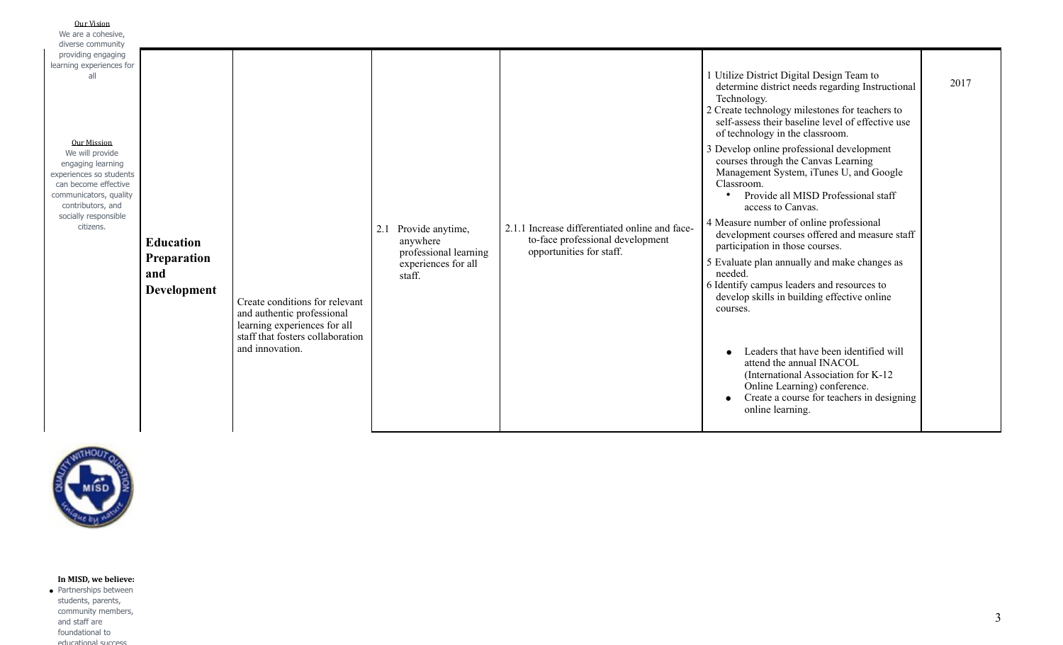| Our Vision<br>We are a cohesive.                                                                                                                                                                  |                                                              |                                                                                                                                                     |                                                                                            |                                                                                                                |                                                                                                                                                                                                                                                                                                                                                                                                                                                                                                                                                                                                                                                                                                                                                                                                                                                                                                                                                                                                                          |      |
|---------------------------------------------------------------------------------------------------------------------------------------------------------------------------------------------------|--------------------------------------------------------------|-----------------------------------------------------------------------------------------------------------------------------------------------------|--------------------------------------------------------------------------------------------|----------------------------------------------------------------------------------------------------------------|--------------------------------------------------------------------------------------------------------------------------------------------------------------------------------------------------------------------------------------------------------------------------------------------------------------------------------------------------------------------------------------------------------------------------------------------------------------------------------------------------------------------------------------------------------------------------------------------------------------------------------------------------------------------------------------------------------------------------------------------------------------------------------------------------------------------------------------------------------------------------------------------------------------------------------------------------------------------------------------------------------------------------|------|
| diverse community                                                                                                                                                                                 |                                                              |                                                                                                                                                     |                                                                                            |                                                                                                                |                                                                                                                                                                                                                                                                                                                                                                                                                                                                                                                                                                                                                                                                                                                                                                                                                                                                                                                                                                                                                          |      |
| providing engaging                                                                                                                                                                                |                                                              |                                                                                                                                                     |                                                                                            |                                                                                                                |                                                                                                                                                                                                                                                                                                                                                                                                                                                                                                                                                                                                                                                                                                                                                                                                                                                                                                                                                                                                                          |      |
| learning experiences for                                                                                                                                                                          |                                                              |                                                                                                                                                     |                                                                                            |                                                                                                                |                                                                                                                                                                                                                                                                                                                                                                                                                                                                                                                                                                                                                                                                                                                                                                                                                                                                                                                                                                                                                          |      |
| all<br>Our Mission<br>We will provide<br>engaging learning<br>experiences so students<br>can become effective<br>communicators, quality<br>contributors, and<br>socially responsible<br>citizens. | <b>Education</b><br>Preparation<br>and<br><b>Development</b> | Create conditions for relevant<br>and authentic professional<br>learning experiences for all<br>staff that fosters collaboration<br>and innovation. | 2.1 Provide anytime,<br>anywhere<br>professional learning<br>experiences for all<br>staff. | 2.1.1 Increase differentiated online and face-<br>to-face professional development<br>opportunities for staff. | 1 Utilize District Digital Design Team to<br>determine district needs regarding Instructional<br>Technology.<br>2 Create technology milestones for teachers to<br>self-assess their baseline level of effective use<br>of technology in the classroom.<br>3 Develop online professional development<br>courses through the Canvas Learning<br>Management System, iTunes U, and Google<br>Classroom.<br>Provide all MISD Professional staff<br>$\bullet$<br>access to Canvas.<br>4 Measure number of online professional<br>development courses offered and measure staff<br>participation in those courses.<br>5 Evaluate plan annually and make changes as<br>needed.<br>6 Identify campus leaders and resources to<br>develop skills in building effective online<br>courses.<br>Leaders that have been identified will<br>$\bullet$<br>attend the annual INACOL<br>(International Association for K-12)<br>Online Learning) conference.<br>Create a course for teachers in designing<br>$\bullet$<br>online learning. | 2017 |
|                                                                                                                                                                                                   |                                                              |                                                                                                                                                     |                                                                                            |                                                                                                                |                                                                                                                                                                                                                                                                                                                                                                                                                                                                                                                                                                                                                                                                                                                                                                                                                                                                                                                                                                                                                          |      |



## In MISD, we believe:

● Partnerships between students, parents, community members, and staff are foundational to educational success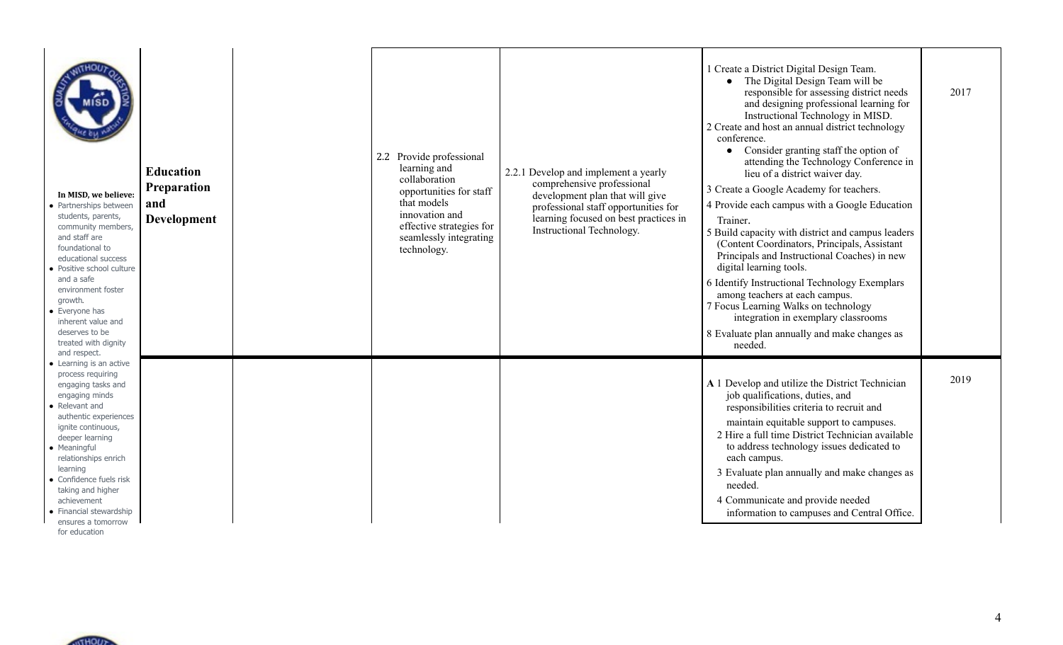| In MISD, we believe:<br>• Partnerships between<br>students, parents,<br>community members,<br>and staff are<br>foundational to<br>educational success<br>• Positive school culture<br>and a safe<br>environment foster<br>arowth.<br>• Everyone has<br>inherent value and<br>deserves to be<br>treated with dignity<br>and respect.                           | <b>Education</b><br><b>Preparation</b><br>and<br><b>Development</b> | 2.2 Provide professional<br>learning and<br>collaboration<br>opportunities for staff<br>that models<br>innovation and<br>effective strategies for<br>seamlessly integrating<br>technology. | 2.2.1 Develop and implement a yearly<br>comprehensive professional<br>development plan that will give<br>professional staff opportunities for<br>learning focused on best practices in<br>Instructional Technology. | 1 Create a District Digital Design Team.<br>• The Digital Design Team will be<br>responsible for assessing district needs<br>and designing professional learning for<br>Instructional Technology in MISD.<br>2 Create and host an annual district technology<br>conference.<br>Consider granting staff the option of<br>attending the Technology Conference in<br>lieu of a district waiver day.<br>3 Create a Google Academy for teachers.<br>4 Provide each campus with a Google Education<br>Trainer.<br>5 Build capacity with district and campus leaders<br>(Content Coordinators, Principals, Assistant<br>Principals and Instructional Coaches) in new<br>digital learning tools.<br>6 Identify Instructional Technology Exemplars<br>among teachers at each campus.<br>7 Focus Learning Walks on technology<br>integration in exemplary classrooms<br>8 Evaluate plan annually and make changes as<br>needed. | 2017 |
|---------------------------------------------------------------------------------------------------------------------------------------------------------------------------------------------------------------------------------------------------------------------------------------------------------------------------------------------------------------|---------------------------------------------------------------------|--------------------------------------------------------------------------------------------------------------------------------------------------------------------------------------------|---------------------------------------------------------------------------------------------------------------------------------------------------------------------------------------------------------------------|-----------------------------------------------------------------------------------------------------------------------------------------------------------------------------------------------------------------------------------------------------------------------------------------------------------------------------------------------------------------------------------------------------------------------------------------------------------------------------------------------------------------------------------------------------------------------------------------------------------------------------------------------------------------------------------------------------------------------------------------------------------------------------------------------------------------------------------------------------------------------------------------------------------------------|------|
| • Learning is an active<br>process requiring<br>engaging tasks and<br>engaging minds<br>• Relevant and<br>authentic experiences<br>ignite continuous,<br>deeper learning<br>• Meaningful<br>relationships enrich<br>learning<br>• Confidence fuels risk<br>taking and higher<br>achievement<br>• Financial stewardship<br>ensures a tomorrow<br>for education |                                                                     |                                                                                                                                                                                            |                                                                                                                                                                                                                     | A 1 Develop and utilize the District Technician<br>job qualifications, duties, and<br>responsibilities criteria to recruit and<br>maintain equitable support to campuses.<br>2 Hire a full time District Technician available<br>to address technology issues dedicated to<br>each campus.<br>3 Evaluate plan annually and make changes as<br>needed.<br>4 Communicate and provide needed<br>information to campuses and Central Office.                                                                                                                                                                                                                                                                                                                                                                                                                                                                              | 2019 |

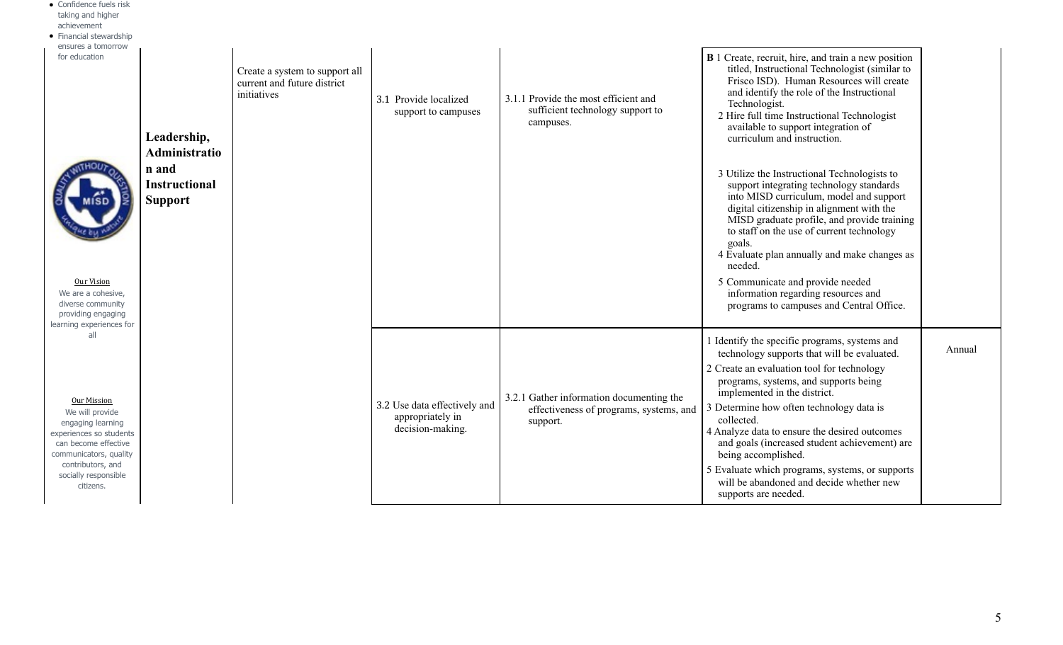| • Confidence fuels risk<br>taking and higher<br>achievement<br>• Financial stewardship<br>ensures a tomorrow<br>for education<br>Our Vision<br>We are a cohesive,<br>diverse community<br>providing engaging | Leadership,<br>Administratio<br>n and<br><b>Instructional</b><br><b>Support</b> | Create a system to support all<br>current and future district<br>initiatives | 3.1 Provide localized<br>support to campuses                         | 3.1.1 Provide the most efficient and<br>sufficient technology support to<br>campuses.           | <b>B</b> 1 Create, recruit, hire, and train a new position<br>titled, Instructional Technologist (similar to<br>Frisco ISD). Human Resources will create<br>and identify the role of the Instructional<br>Technologist.<br>2 Hire full time Instructional Technologist<br>available to support integration of<br>curriculum and instruction.<br>3 Utilize the Instructional Technologists to<br>support integrating technology standards<br>into MISD curriculum, model and support<br>digital citizenship in alignment with the<br>MISD graduate profile, and provide training<br>to staff on the use of current technology<br>goals.<br>4 Evaluate plan annually and make changes as<br>needed.<br>5 Communicate and provide needed<br>information regarding resources and<br>programs to campuses and Central Office. |        |
|--------------------------------------------------------------------------------------------------------------------------------------------------------------------------------------------------------------|---------------------------------------------------------------------------------|------------------------------------------------------------------------------|----------------------------------------------------------------------|-------------------------------------------------------------------------------------------------|--------------------------------------------------------------------------------------------------------------------------------------------------------------------------------------------------------------------------------------------------------------------------------------------------------------------------------------------------------------------------------------------------------------------------------------------------------------------------------------------------------------------------------------------------------------------------------------------------------------------------------------------------------------------------------------------------------------------------------------------------------------------------------------------------------------------------|--------|
| learning experiences for<br>all                                                                                                                                                                              |                                                                                 |                                                                              |                                                                      |                                                                                                 | I Identify the specific programs, systems and<br>technology supports that will be evaluated.<br>2 Create an evaluation tool for technology<br>programs, systems, and supports being                                                                                                                                                                                                                                                                                                                                                                                                                                                                                                                                                                                                                                      | Annual |
| Our Mission<br>We will provide<br>engaging learning<br>experiences so students<br>can become effective<br>communicators, quality<br>contributors, and<br>socially responsible<br>citizens.                   |                                                                                 |                                                                              | 3.2 Use data effectively and<br>appropriately in<br>decision-making. | 3.2.1 Gather information documenting the<br>effectiveness of programs, systems, and<br>support. | implemented in the district.<br>3 Determine how often technology data is<br>collected.<br>4 Analyze data to ensure the desired outcomes<br>and goals (increased student achievement) are<br>being accomplished.<br>5 Evaluate which programs, systems, or supports<br>will be abandoned and decide whether new<br>supports are needed.                                                                                                                                                                                                                                                                                                                                                                                                                                                                                   |        |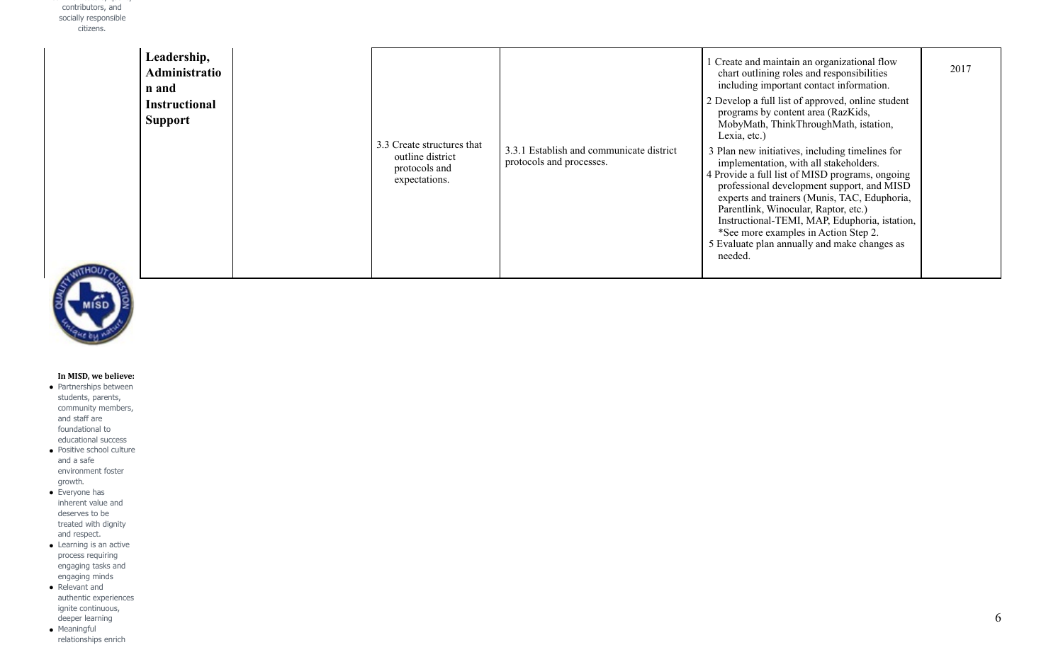| Leadership,<br><b>Administratio</b><br>n and<br><b>Instructional</b><br><b>Support</b> | 3.3 Create structures that<br>outline district<br>protocols and<br>expectations. | 3.3.1 Establish and communicate district<br>protocols and processes. | Create and maintain an organizational flow<br>chart outlining roles and responsibilities<br>including important contact information.<br>2 Develop a full list of approved, online student<br>programs by content area (RazKids,<br>MobyMath, ThinkThroughMath, istation,<br>Lexia, etc.)<br>3 Plan new initiatives, including timelines for<br>implementation, with all stakeholders.<br>4 Provide a full list of MISD programs, ongoing<br>professional development support, and MISD<br>experts and trainers (Munis, TAC, Eduphoria,<br>Parentlink, Winocular, Raptor, etc.)<br>Instructional-TEMI, MAP, Eduphoria, istation,<br>*See more examples in Action Step 2.<br>5 Evaluate plan annually and make changes as<br>needed. | 2017 |
|----------------------------------------------------------------------------------------|----------------------------------------------------------------------------------|----------------------------------------------------------------------|------------------------------------------------------------------------------------------------------------------------------------------------------------------------------------------------------------------------------------------------------------------------------------------------------------------------------------------------------------------------------------------------------------------------------------------------------------------------------------------------------------------------------------------------------------------------------------------------------------------------------------------------------------------------------------------------------------------------------------|------|
|----------------------------------------------------------------------------------------|----------------------------------------------------------------------------------|----------------------------------------------------------------------|------------------------------------------------------------------------------------------------------------------------------------------------------------------------------------------------------------------------------------------------------------------------------------------------------------------------------------------------------------------------------------------------------------------------------------------------------------------------------------------------------------------------------------------------------------------------------------------------------------------------------------------------------------------------------------------------------------------------------------|------|



## In MISD, we believe:

- Partnerships between students, parents, community members, and staff are foundational to educational success
- Positive school culture and a safe environment foster growth.
- $\bullet$  Everyone has inherent value and deserves to be treated with dignity and respect.
- Learning is an active process requiring engaging tasks and engaging minds
- Relevant and authentic experiences ignite continuous, deeper learning ● Meaningful
- relationships enrich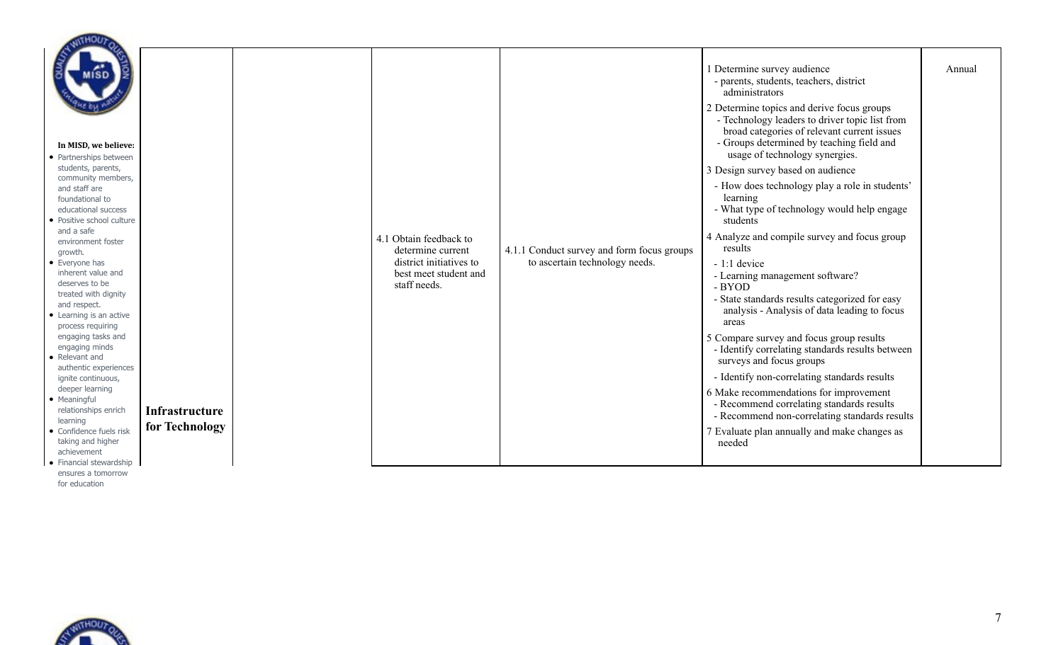| In MISD, we believe:<br>• Partnerships between<br>students, parents,<br>community members,<br>and staff are<br>foundational to<br>educational success<br>· Positive school culture                                                                                                                                                        |                       |                                                                                                                 |                                                                              | 1 Determine survey audience<br>- parents, students, teachers, district<br>administrators<br>2 Determine topics and derive focus groups<br>- Technology leaders to driver topic list from<br>broad categories of relevant current issues<br>- Groups determined by teaching field and<br>usage of technology synergies.<br>3 Design survey based on audience<br>- How does technology play a role in students'<br>learning<br>- What type of technology would help engage<br>students | Annual |
|-------------------------------------------------------------------------------------------------------------------------------------------------------------------------------------------------------------------------------------------------------------------------------------------------------------------------------------------|-----------------------|-----------------------------------------------------------------------------------------------------------------|------------------------------------------------------------------------------|--------------------------------------------------------------------------------------------------------------------------------------------------------------------------------------------------------------------------------------------------------------------------------------------------------------------------------------------------------------------------------------------------------------------------------------------------------------------------------------|--------|
| and a safe<br>environment foster<br>growth.<br>• Everyone has<br>inherent value and<br>deserves to be<br>treated with dignity<br>and respect.<br>• Learning is an active<br>process requiring<br>engaging tasks and<br>engaging minds<br>• Relevant and<br>authentic experiences<br>ignite continuous,<br>deeper learning<br>• Meaningful |                       | 4.1 Obtain feedback to<br>determine current<br>district initiatives to<br>best meet student and<br>staff needs. | 4.1.1 Conduct survey and form focus groups<br>to ascertain technology needs. | 4 Analyze and compile survey and focus group<br>results<br>$-1:1$ device<br>- Learning management software?<br>- BYOD<br>- State standards results categorized for easy<br>analysis - Analysis of data leading to focus<br>areas<br>5 Compare survey and focus group results<br>- Identify correlating standards results between<br>surveys and focus groups<br>- Identify non-correlating standards results<br>6 Make recommendations for improvement                               |        |
| relationships enrich<br>learning                                                                                                                                                                                                                                                                                                          | <b>Infrastructure</b> |                                                                                                                 |                                                                              | - Recommend correlating standards results<br>- Recommend non-correlating standards results                                                                                                                                                                                                                                                                                                                                                                                           |        |
| • Confidence fuels risk<br>taking and higher<br>achievement                                                                                                                                                                                                                                                                               | for Technology        |                                                                                                                 |                                                                              | 7 Evaluate plan annually and make changes as<br>needed                                                                                                                                                                                                                                                                                                                                                                                                                               |        |
| • Financial stewardship                                                                                                                                                                                                                                                                                                                   |                       |                                                                                                                 |                                                                              |                                                                                                                                                                                                                                                                                                                                                                                                                                                                                      |        |



ensures a tomorrow for education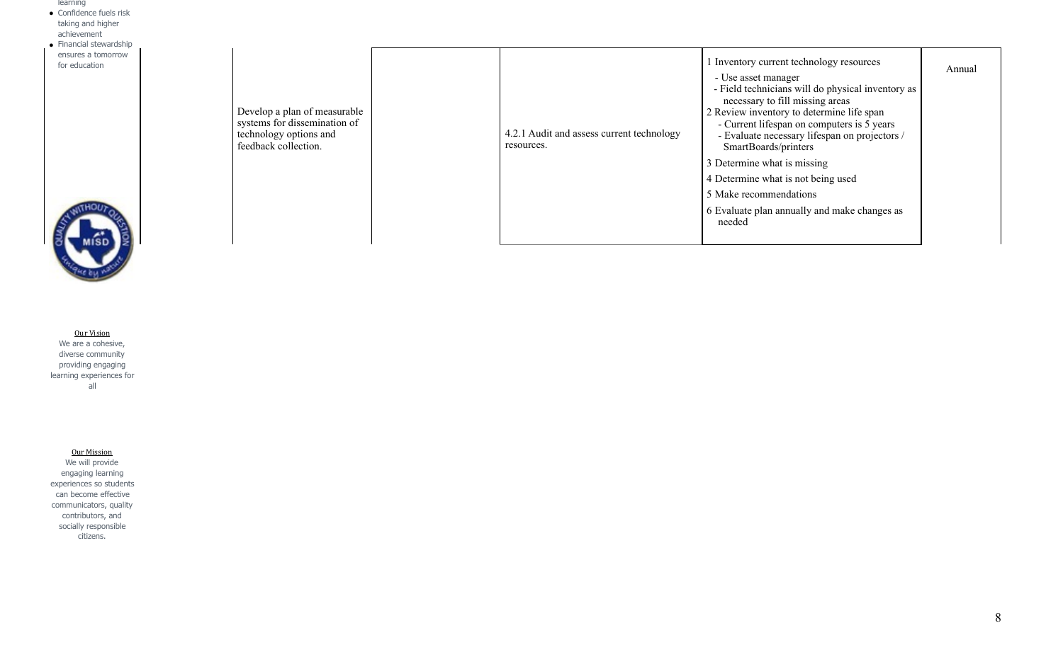- learning ● Confidence fuels risk
- taking and higher achievement
- Financial stewardship ensures a tomorrow for education

Develop a plan of measurable systems for dissemination of technology options and feedback collection.

| 4.2.1 Audit and assess current technology<br>resources. | 1 Inventory current technology resources<br>- Use asset manager<br>- Field technicians will do physical inventory as<br>necessary to fill missing areas<br>2 Review inventory to determine life span<br>- Current lifespan on computers is 5 years<br>- Evaluate necessary lifespan on projectors /<br>SmartBoards/printers | Annual |
|---------------------------------------------------------|-----------------------------------------------------------------------------------------------------------------------------------------------------------------------------------------------------------------------------------------------------------------------------------------------------------------------------|--------|
|                                                         | 3 Determine what is missing                                                                                                                                                                                                                                                                                                 |        |
|                                                         | 4 Determine what is not being used                                                                                                                                                                                                                                                                                          |        |
|                                                         | 5 Make recommendations                                                                                                                                                                                                                                                                                                      |        |
|                                                         | 6 Evaluate plan annually and make changes as<br>needed                                                                                                                                                                                                                                                                      |        |



Our Vision We are a cohesive, diverse community providing engaging learning experiences for all

## Our Mission

We will provide engaging learning experiences so students can become effective communicators, quality contributors, and socially responsible citizens.